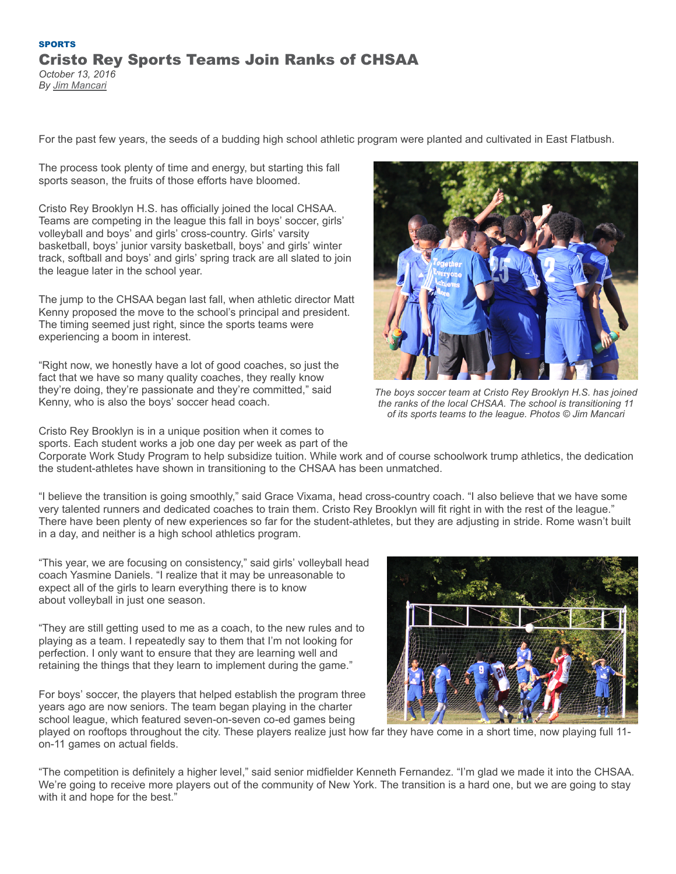## **[SPORTS](https://thetablet.org/category/sports/)** Cristo Rey Sports Teams Join Ranks of CHSAA *October 13, 2016*

*By [Jim Mancari](https://thetablet.org/author/jmancari/)*

For the past few years, the seeds of a budding high school athletic program were planted and cultivated in East Flatbush.

The process took plenty of time and energy, but starting this fall sports season, the fruits of those efforts have bloomed.

Cristo Rey Brooklyn H.S. has officially joined the local CHSAA. Teams are competing in the league this fall in boys' soccer, girls' volleyball and boys' and girls' cross-country. Girls' varsity basketball, boys' junior varsity basketball, boys' and girls' winter track, softball and boys' and girls' spring track are all slated to join the league later in the school year.

The jump to the CHSAA began last fall, when athletic director Matt Kenny proposed the move to the school's principal and president. The timing seemed just right, since the sports teams were experiencing a boom in interest.

"Right now, we honestly have a lot of good coaches, so just the fact that we have so many quality coaches, they really know they're doing, they're passionate and they're committed," said Kenny, who is also the boys' soccer head coach.

Cristo Rey Brooklyn is in a unique position when it comes to sports. Each student works a job one day per week as part of the



*The boys soccer team at Cristo Rey Brooklyn H.S. has joined the ranks of the local CHSAA. The school is transitioning 11 of its sports teams to the league. Photos © Jim Mancari*

Corporate Work Study Program to help subsidize tuition. While work and of course schoolwork trump athletics, the dedication the student-athletes have shown in transitioning to the CHSAA has been unmatched.

"I believe the transition is going smoothly," said Grace Vixama, head cross-country coach. "I also believe that we have some very talented runners and dedicated coaches to train them. Cristo Rey Brooklyn will fit right in with the rest of the league." There have been plenty of new experiences so far for the student-athletes, but they are adjusting in stride. Rome wasn't built in a day, and neither is a high school athletics program.

"This year, we are focusing on consistency," said girls' volleyball head coach Yasmine Daniels. "I realize that it may be unreasonable to expect all of the girls to learn everything there is to know about volleyball in just one season.

"They are still getting used to me as a coach, to the new rules and to playing as a team. I repeatedly say to them that I'm not looking for perfection. I only want to ensure that they are learning well and retaining the things that they learn to implement during the game."

For boys' soccer, the players that helped establish the program three years ago are now seniors. The team began playing in the charter school league, which featured seven-on-seven co-ed games being



played on rooftops throughout the city. These players realize just how far they have come in a short time, now playing full 11 on-11 games on actual fields.

"The competition is definitely a higher level," said senior midfielder Kenneth Fernandez. "I'm glad we made it into the CHSAA. We're going to receive more players out of the community of New York. The transition is a hard one, but we are going to stay with it and hope for the best."